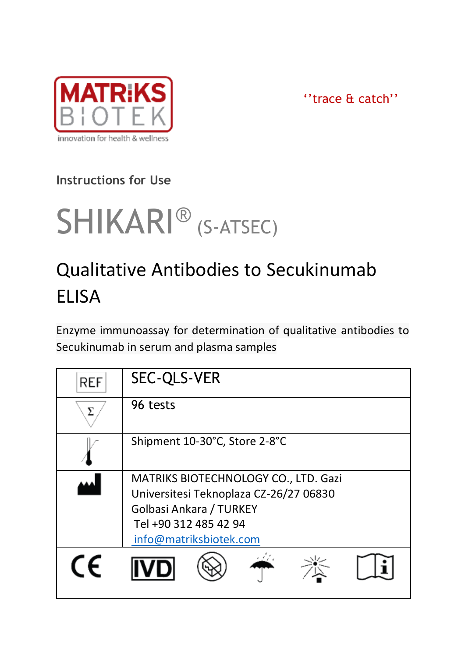

''trace & catch''

# **Instructions for Use**

# SHIKARI<sup>®</sup> (S-ATSEC)

# Qualitative Antibodies to Secukinumab **FLISA**

Enzyme immunoassay for determination of qualitative antibodies to Secukinumab in serum and plasma samples

| <b>REF</b> | SEC-QLS-VER                                                                                                                                                  |  |  |
|------------|--------------------------------------------------------------------------------------------------------------------------------------------------------------|--|--|
|            | 96 tests                                                                                                                                                     |  |  |
|            | Shipment 10-30°C, Store 2-8°C                                                                                                                                |  |  |
|            | MATRIKS BIOTECHNOLOGY CO., LTD. Gazi<br>Universitesi Teknoplaza CZ-26/27 06830<br>Golbasi Ankara / TURKEY<br>Tel +90 312 485 42 94<br>info@matriksbiotek.com |  |  |
| CF         |                                                                                                                                                              |  |  |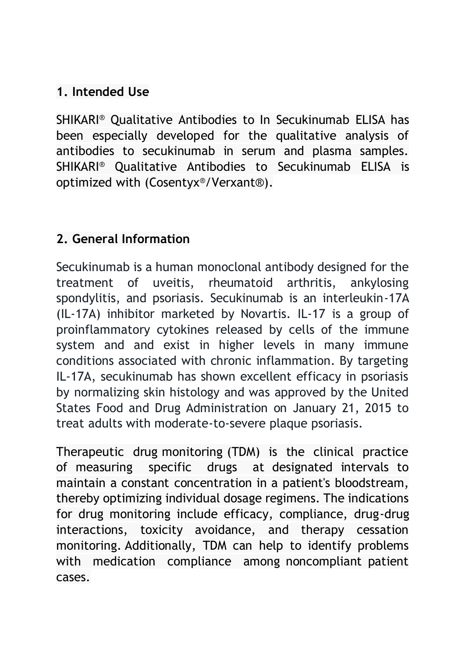#### **1. Intended Use**

SHIKARI® Qualitative Antibodies to In Secukinumab ELISA has been especially developed for the qualitative analysis of antibodies to secukinumab in serum and plasma samples. SHIKARI® Qualitative Antibodies to Secukinumab ELISA is optimized with (Cosentyx®/Verxant®).

#### **2. General Information**

Secukinumab is a human monoclonal antibody designed for the treatment of uveitis, rheumatoid arthritis, ankylosing spondylitis, and psoriasis. Secukinumab is an interleukin-17A (IL-17A) inhibitor marketed by Novartis. IL-17 is a group of proinflammatory cytokines released by cells of the immune system and and exist in higher levels in many immune conditions associated with chronic inflammation. By targeting IL-17A, secukinumab has shown excellent efficacy in psoriasis by normalizing skin histology and was approved by the United States Food and Drug Administration on January 21, 2015 to treat adults with moderate-to-severe plaque psoriasis.

Therapeutic drug monitoring (TDM) is the clinical practice of measuring specific drugs at designated intervals to maintain a constant concentration in a patient's bloodstream, thereby optimizing individual dosage regimens. The indications for drug monitoring include efficacy, compliance, drug-drug interactions, toxicity avoidance, and therapy cessation monitoring. Additionally, TDM can help to identify problems with medication compliance among noncompliant patient cases.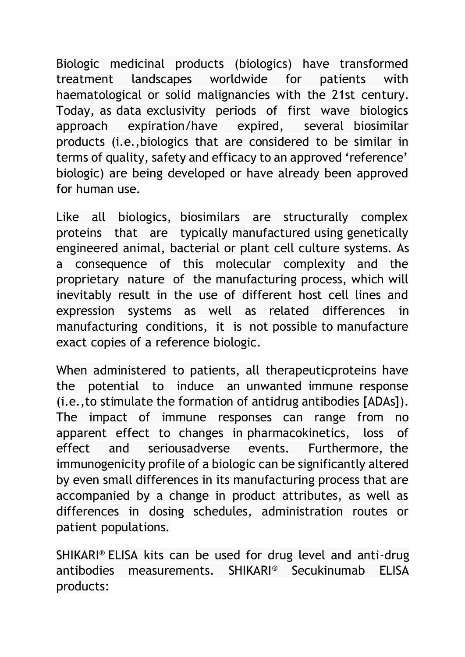Biologic medicinal products (biologics) have transformed treatment landscapes worldwide for patients with haematological or solid malignancies with the 21st century. Today, as data exclusivity periods of first wave biologics approach expiration/have expired, several biosimilar products (i.e.,biologics that are considered to be similar in terms of quality, safety and efficacy to an approved 'reference' biologic) are being developed or have already been approved for human use.

Like all biologics, biosimilars are structurally complex proteins that are typically manufactured using genetically engineered animal, bacterial or plant cell culture systems. As a consequence of this molecular complexity and the proprietary nature of the manufacturing process, which will inevitably result in the use of different host cell lines and expression systems as well as related differences in manufacturing conditions, it is not possible to manufacture exact copies of a reference biologic.

When administered to patients, all therapeuticproteins have the potential to induce an unwanted immune response (i.e.,to stimulate the formation of antidrug antibodies [ADAs]). The impact of immune responses can range from no apparent effect to changes in pharmacokinetics, loss of effect and seriousadverse events. Furthermore, the immunogenicity profile of a biologic can be significantly altered by even small differences in its manufacturing process that are accompanied by a change in product attributes, as well as differences in dosing schedules, administration routes or patient populations.

SHIKARI® ELISA kits can be used for drug level and anti-drug antibodies measurements. SHIKARI® Secukinumab ELISA products: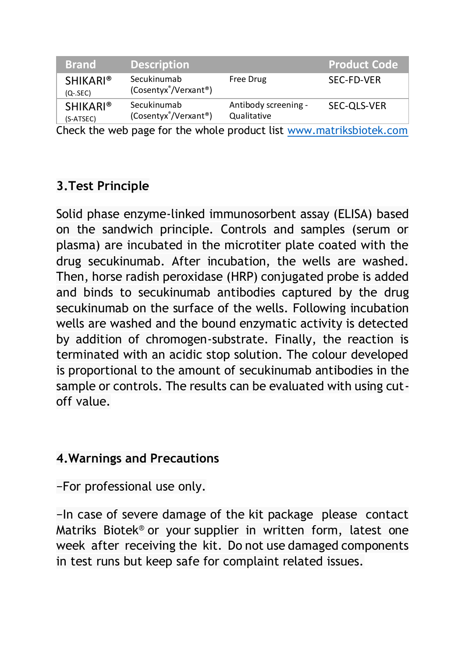| <b>Brand</b>                   | <b>Description</b>                               |                                     | <b>Product Code</b> |
|--------------------------------|--------------------------------------------------|-------------------------------------|---------------------|
| <b>SHIKARI®</b><br>$(Q - SEC)$ | Secukinumab<br>(Cosentyx <sup>®</sup> /Verxant®) | Free Drug                           | SEC-FD-VER          |
| <b>SHIKARI®</b><br>(S-ATSEC)   | Secukinumab<br>(Cosentyx <sup>®</sup> /Verxant®) | Antibody screening -<br>Qualitative | SEC-OLS-VER         |

Check the web page for the whole product list [www.matriksbiotek.com](file:///C:/Users/Matrix/Documents/www.matriksbiotek.com)

# **3.Test Principle**

Solid phase enzyme-linked immunosorbent assay (ELISA) based on the sandwich principle. Controls and samples (serum or plasma) are incubated in the microtiter plate coated with the drug secukinumab. After incubation, the wells are washed. Then, horse radish peroxidase (HRP) conjugated probe is added and binds to secukinumab antibodies captured by the drug secukinumab on the surface of the wells. Following incubation wells are washed and the bound enzymatic activity is detected by addition of chromogen-substrate. Finally, the reaction is terminated with an acidic stop solution. The colour developed is proportional to the amount of secukinumab antibodies in the sample or controls. The results can be evaluated with using cutoff value.

#### **4.Warnings and Precautions**

−For professional use only.

−In case of severe damage of the kit package please contact Matriks Biotek® or your supplier in written form, latest one week after receiving the kit. Do not use damaged components in test runs but keep safe for complaint related issues.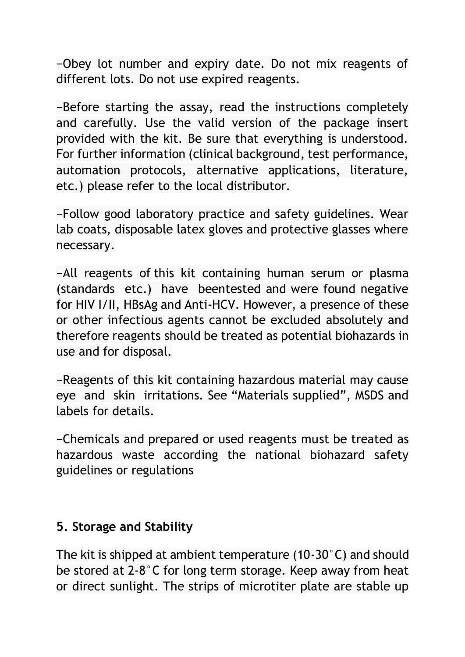−Obey lot number and expiry date. Do not mix reagents of different lots. Do not use expired reagents.

−Before starting the assay, read the instructions completely and carefully. Use the valid version of the package insert provided with the kit. Be sure that everything is understood. For further information (clinical background, test performance, automation protocols, alternative applications, literature, etc.) please refer to the local distributor.

−Follow good laboratory practice and safety guidelines. Wear lab coats, disposable latex gloves and protective glasses where necessary.

−All reagents of this kit containing human serum or plasma (standards etc.) have beentested and were found negative for HIV I/II, HBsAg and Anti-HCV. However, a presence of these or other infectious agents cannot be excluded absolutely and therefore reagents should be treated as potential biohazards in use and for disposal.

−Reagents of this kit containing hazardous material may cause eye and skin irritations. See "Materials supplied", MSDS and labels for details.

−Chemicals and prepared or used reagents must be treated as hazardous waste according the national biohazard safety guidelines or regulations

#### **5. Storage and Stability**

The kit is shipped at ambient temperature (10-30°C) and should be stored at 2-8°C for long term storage. Keep away from heat or direct sunlight. The strips of microtiter plate are stable up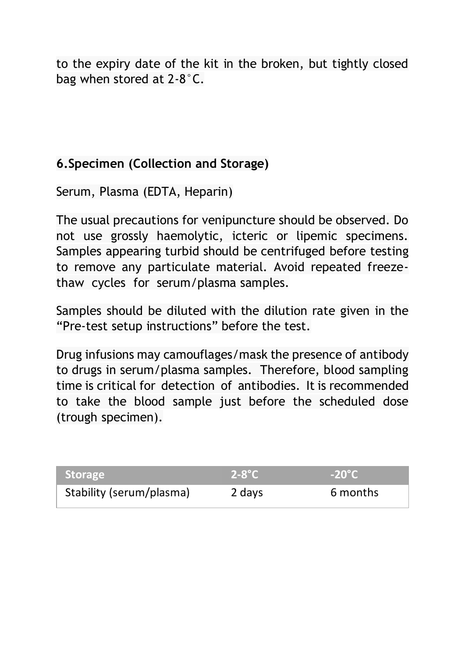to the expiry date of the kit in the broken, but tightly closed bag when stored at 2-8°C.

#### **6.Specimen (Collection and Storage)**

Serum, Plasma (EDTA, Heparin)

The usual precautions for venipuncture should be observed. Do not use grossly haemolytic, icteric or lipemic specimens. Samples appearing turbid should be centrifuged before testing to remove any particulate material. Avoid repeated freezethaw cycles for serum/plasma samples.

Samples should be diluted with the dilution rate given in the "Pre-test setup instructions" before the test.

Drug infusions may camouflages/mask the presence of antibody to drugs in serum/plasma samples. Therefore, blood sampling time is critical for detection of antibodies. It is recommended to take the blood sample just before the scheduled dose (trough specimen).

| <b>Storage</b>           | $2-8$ °C | $-20^{\circ}$ C |
|--------------------------|----------|-----------------|
| Stability (serum/plasma) | 2 days   | 6 months        |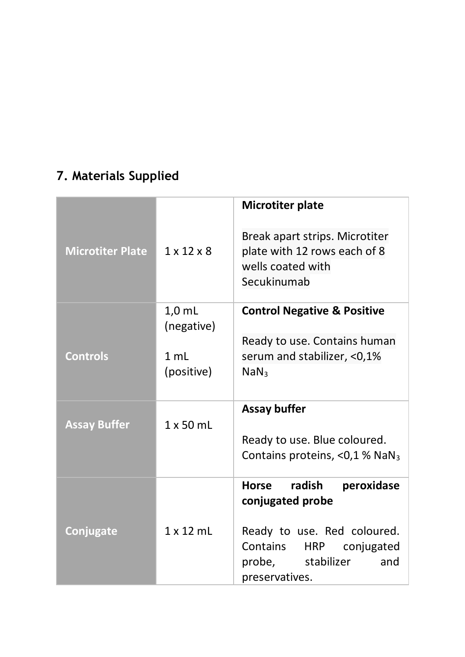# **7. Materials Supplied**

|                         |                        | Microtiter plate                                                                                   |
|-------------------------|------------------------|----------------------------------------------------------------------------------------------------|
| <b>Microtiter Plate</b> | $1 \times 12 \times 8$ | Break apart strips. Microtiter<br>plate with 12 rows each of 8<br>wells coated with<br>Secukinumab |
|                         | $1,0$ mL<br>(negative) | <b>Control Negative &amp; Positive</b>                                                             |
|                         |                        | Ready to use. Contains human                                                                       |
| <b>Controls</b>         | 1 ml<br>(positive)     | serum and stabilizer, <0,1%<br>NaN <sub>3</sub>                                                    |
|                         |                        |                                                                                                    |
|                         |                        | Assay buffer                                                                                       |
| <b>Assay Buffer</b>     | $1 \times 50$ ml       | Ready to use. Blue coloured.                                                                       |
|                         |                        | Contains proteins, $<$ 0,1 % NaN <sub>3</sub>                                                      |
|                         |                        | radish<br>peroxidase<br>Horse<br>conjugated probe                                                  |
| <b>Conjugate</b>        | $1 \times 12$ ml       | Ready to use. Red coloured.                                                                        |
|                         |                        | Contains<br><b>HRP</b><br>conjugated                                                               |
|                         |                        | probe, stabilizer<br>and<br>preservatives.                                                         |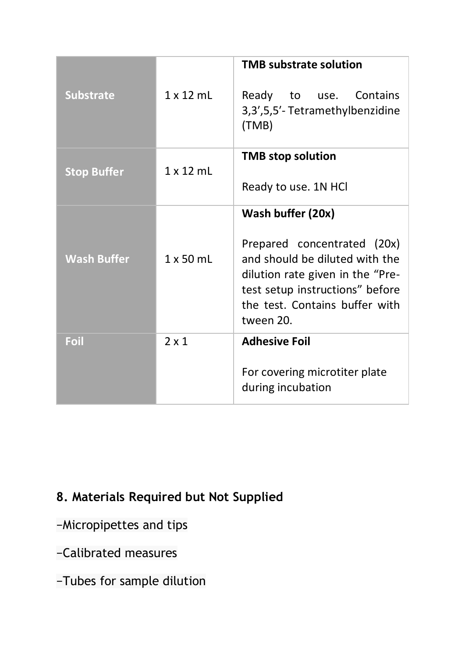| <b>Substrate</b>   | 1 x 12 mL        | <b>TMB substrate solution</b><br>Ready<br>to use. Contains<br>3,3',5,5'-Tetramethylbenzidine<br>(TMB)                                                                                                    |
|--------------------|------------------|----------------------------------------------------------------------------------------------------------------------------------------------------------------------------------------------------------|
| <b>Stop Buffer</b> | $1 \times 12$ mL | <b>TMB</b> stop solution<br>Ready to use. 1N HCI                                                                                                                                                         |
| <b>Wash Buffer</b> | $1 \times 50$ ml | Wash buffer (20x)<br>Prepared concentrated (20x)<br>and should be diluted with the<br>dilution rate given in the "Pre-<br>test setup instructions" before<br>the test. Contains buffer with<br>tween 20. |
| Foil               | $2 \times 1$     | <b>Adhesive Foil</b><br>For covering microtiter plate<br>during incubation                                                                                                                               |

# **8. Materials Required but Not Supplied**

- −Micropipettes and tips
- −Calibrated measures
- −Tubes for sample dilution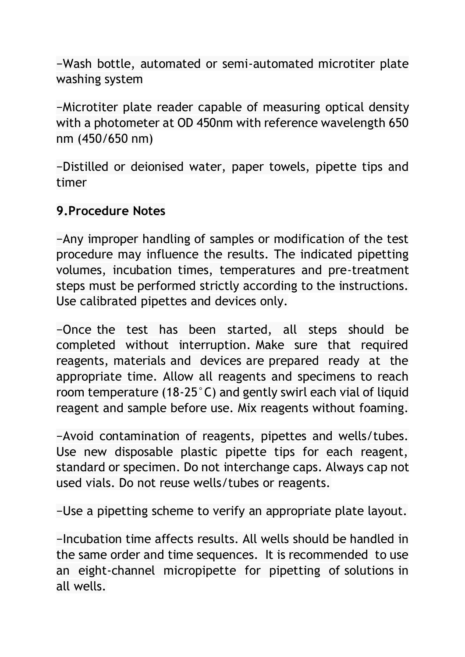−Wash bottle, automated or semi-automated microtiter plate washing system

−Microtiter plate reader capable of measuring optical density with a photometer at OD 450nm with reference wavelength 650 nm (450/650 nm)

−Distilled or deionised water, paper towels, pipette tips and timer

#### **9.Procedure Notes**

−Any improper handling of samples or modification of the test procedure may influence the results. The indicated pipetting volumes, incubation times, temperatures and pre-treatment steps must be performed strictly according to the instructions. Use calibrated pipettes and devices only.

−Once the test has been started, all steps should be completed without interruption. Make sure that required reagents, materials and devices are prepared ready at the appropriate time. Allow all reagents and specimens to reach room temperature (18-25°C) and gently swirl each vial of liquid reagent and sample before use. Mix reagents without foaming.

−Avoid contamination of reagents, pipettes and wells/tubes. Use new disposable plastic pipette tips for each reagent, standard or specimen. Do not interchange caps. Always cap not used vials. Do not reuse wells/tubes or reagents.

−Use a pipetting scheme to verify an appropriate plate layout.

−Incubation time affects results. All wells should be handled in the same order and time sequences. It is recommended to use an eight-channel micropipette for pipetting of solutions in all wells.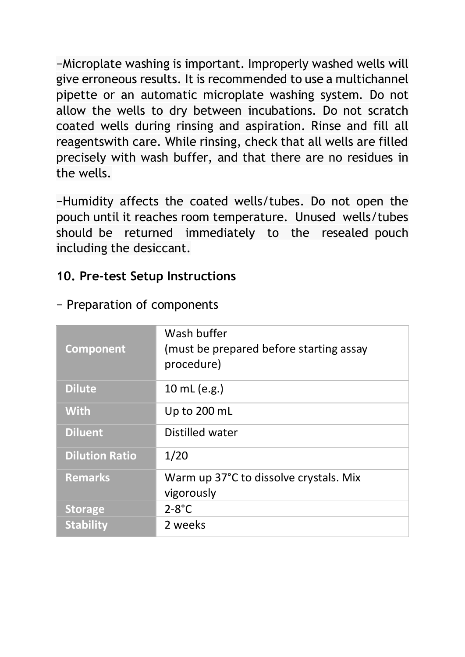−Microplate washing is important. Improperly washed wells will give erroneous results. It is recommended to use a multichannel pipette or an automatic microplate washing system. Do not allow the wells to dry between incubations. Do not scratch coated wells during rinsing and aspiration. Rinse and fill all reagentswith care. While rinsing, check that all wells are filled precisely with wash buffer, and that there are no residues in the wells.

−Humidity affects the coated wells/tubes. Do not open the pouch until it reaches room temperature. Unused wells/tubes should be returned immediately to the resealed pouch including the desiccant.

#### **10. Pre-test Setup Instructions**

| Component             | Wash buffer<br>(must be prepared before starting assay<br>procedure) |
|-----------------------|----------------------------------------------------------------------|
| <b>Dilute</b>         | 10 mL (e.g.)                                                         |
| <b>With</b>           | Up to 200 mL                                                         |
| <b>Diluent</b>        | Distilled water                                                      |
| <b>Dilution Ratio</b> | 1/20                                                                 |
| <b>Remarks</b>        | Warm up 37°C to dissolve crystals. Mix                               |
|                       | vigorously                                                           |
| <b>Storage</b>        | $2-8$ °C                                                             |
| <b>Stability</b>      | 2 weeks                                                              |

− Preparation of components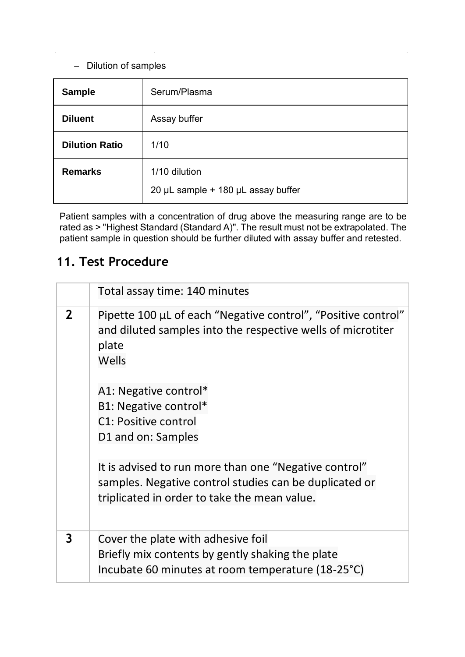#### − Dilution of samples

| Sample                | Serum/Plasma                                        |
|-----------------------|-----------------------------------------------------|
| <b>Diluent</b>        | Assay buffer                                        |
| <b>Dilution Ratio</b> | 1/10                                                |
| <b>Remarks</b>        | 1/10 dilution<br>20 µL sample + 180 µL assay buffer |

Patient samples with a concentration of drug above the measuring range are to be<br>rated as > "Highest Standard (Standard A)". The result must not be extrapolated. The<br>patient sample in question should be further diluted wit

#### **11. Test Procedure**

|   | Total assay time: 140 minutes                                                                                                                                                                                                                  |
|---|------------------------------------------------------------------------------------------------------------------------------------------------------------------------------------------------------------------------------------------------|
| 2 | Pipette 100 µL of each "Negative control", "Positive control"<br>and diluted samples into the respective wells of microtiter<br>plate<br>Wells<br>A1: Negative control*<br>B1: Negative control*<br>C1: Positive control<br>D1 and on: Samples |
|   | It is advised to run more than one "Negative control"<br>samples. Negative control studies can be duplicated or<br>triplicated in order to take the mean value.                                                                                |
| 3 | Cover the plate with adhesive foil<br>Briefly mix contents by gently shaking the plate<br>Incubate 60 minutes at room temperature (18-25°C)                                                                                                    |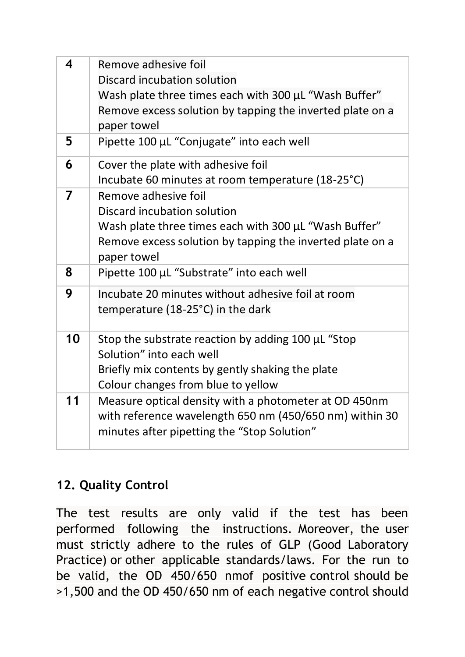| 4  | Remove adhesive foil                                      |
|----|-----------------------------------------------------------|
|    |                                                           |
|    | Discard incubation solution                               |
|    | Wash plate three times each with 300 µL "Wash Buffer"     |
|    | Remove excess solution by tapping the inverted plate on a |
|    | paper towel                                               |
| 5  | Pipette 100 µL "Conjugate" into each well                 |
|    |                                                           |
| 6  | Cover the plate with adhesive foil                        |
|    | Incubate 60 minutes at room temperature (18-25°C)         |
| 7  | Remove adhesive foil                                      |
|    | Discard incubation solution                               |
|    | Wash plate three times each with 300 µL "Wash Buffer"     |
|    | Remove excess solution by tapping the inverted plate on a |
|    | paper towel                                               |
| 8  | Pipette 100 µL "Substrate" into each well                 |
|    |                                                           |
| 9  | Incubate 20 minutes without adhesive foil at room         |
|    | temperature (18-25°C) in the dark                         |
|    |                                                           |
| 10 | Stop the substrate reaction by adding 100 µL "Stop        |
|    | Solution" into each well                                  |
|    | Briefly mix contents by gently shaking the plate          |
|    |                                                           |
|    | Colour changes from blue to yellow                        |
| 11 | Measure optical density with a photometer at OD 450nm     |
|    | with reference wavelength 650 nm (450/650 nm) within 30   |
|    | minutes after pipetting the "Stop Solution"               |
|    |                                                           |

## **12. Quality Control**

The test results are only valid if the test has been performed following the instructions. Moreover, the user must strictly adhere to the rules of GLP (Good Laboratory Practice) or other applicable standards/laws. For the run to be valid, the OD 450/650 nmof positive control should be >1,500 and the OD 450/650 nm of each negative control should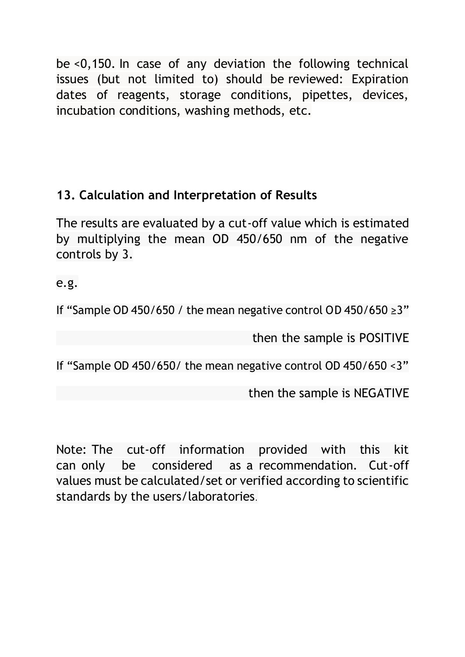be <0,150. In case of any deviation the following technical issues (but not limited to) should be reviewed: Expiration dates of reagents, storage conditions, pipettes, devices, incubation conditions, washing methods, etc.

## **13. Calculation and Interpretation of Results**

The results are evaluated by a cut-off value which is estimated by multiplying the mean OD 450/650 nm of the negative controls by 3.

e.g.

If "Sample OD 450/650 / the mean negative control OD 450/650 ≥3"

then the sample is POSITIVE

If "Sample OD 450/650/ the mean negative control OD 450/650 <3"

then the sample is NEGATIVE

Note: The cut-off information provided with this kit can only be considered as a recommendation. Cut-off values must be calculated/set or verified according to scientific standards by the users/laboratories.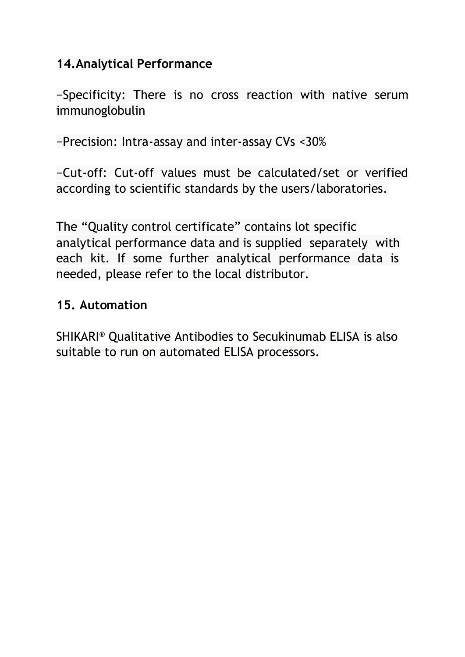#### **14.Analytical Performance**

−Specificity: There is no cross reaction with native serum immunoglobulin

−Precision: Intra-assay and inter-assay CVs <30%

−Cut-off: Cut-off values must be calculated/set or verified according to scientific standards by the users/laboratories.

The "Quality control certificate" contains lot specific analytical performance data and is supplied separately with each kit. If some further analytical performance data is needed, please refer to the local distributor.

#### **15. Automation**

SHIKARI® Qualitative Antibodies to Secukinumab ELISA is also suitable to run on automated ELISA processors.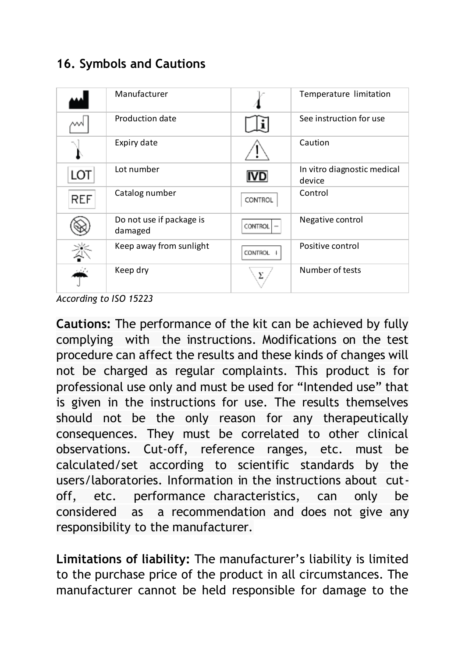#### **16. Symbols and Cautions**

|            | Manufacturer                        |                | Temperature limitation                |
|------------|-------------------------------------|----------------|---------------------------------------|
|            | Production date                     |                | See instruction for use               |
|            | Expiry date                         |                | Caution                               |
| LOT        | Lot number                          |                | In vitro diagnostic medical<br>device |
| <b>REF</b> | Catalog number                      | CONTROL        | Control                               |
|            | Do not use if package is<br>damaged | <b>CONTROL</b> | Negative control                      |
|            | Keep away from sunlight             | <b>CONTROL</b> | Positive control                      |
|            | Keep dry                            | v              | Number of tests                       |

*According to ISO 15223* 

**Cautions:** The performance of the kit can be achieved by fully complying with the instructions. Modifications on the test procedure can affect the results and these kinds of changes will not be charged as regular complaints. This product is for professional use only and must be used for "Intended use" that is given in the instructions for use. The results themselves should not be the only reason for any therapeutically consequences. They must be correlated to other clinical observations. Cut-off, reference ranges, etc. must be calculated/set according to scientific standards by the users/laboratories. Information in the instructions about cutoff, etc. performance characteristics, can only be considered as a recommendation and does not give any responsibility to the manufacturer.

**Limitations of liability:** The manufacturer's liability is limited to the purchase price of the product in all circumstances. The manufacturer cannot be held responsible for damage to the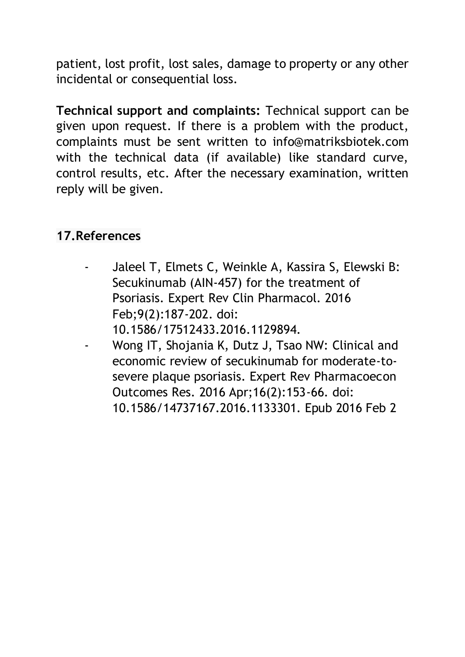patient, lost profit, lost sales, damage to property or any other incidental or consequential loss.

**Technical support and complaints:** Technical support can be given upon request. If there is a problem with the product, complaints must be sent written to info@matriksbiotek.com with the technical data (if available) like standard curve, control results, etc. After the necessary examination, written reply will be given.

#### **17.References**

- Jaleel T, Elmets C, Weinkle A, Kassira S, Elewski B: Secukinumab (AIN-457) for the treatment of Psoriasis. Expert Rev Clin Pharmacol. 2016 Feb;9(2):187-202. doi: 10.1586/17512433.2016.1129894.
- Wong IT, Shojania K, Dutz J, Tsao NW: Clinical and economic review of secukinumab for moderate-tosevere plaque psoriasis. Expert Rev Pharmacoecon Outcomes Res. 2016 Apr;16(2):153-66. doi: 10.1586/14737167.2016.1133301. Epub 2016 Feb 2